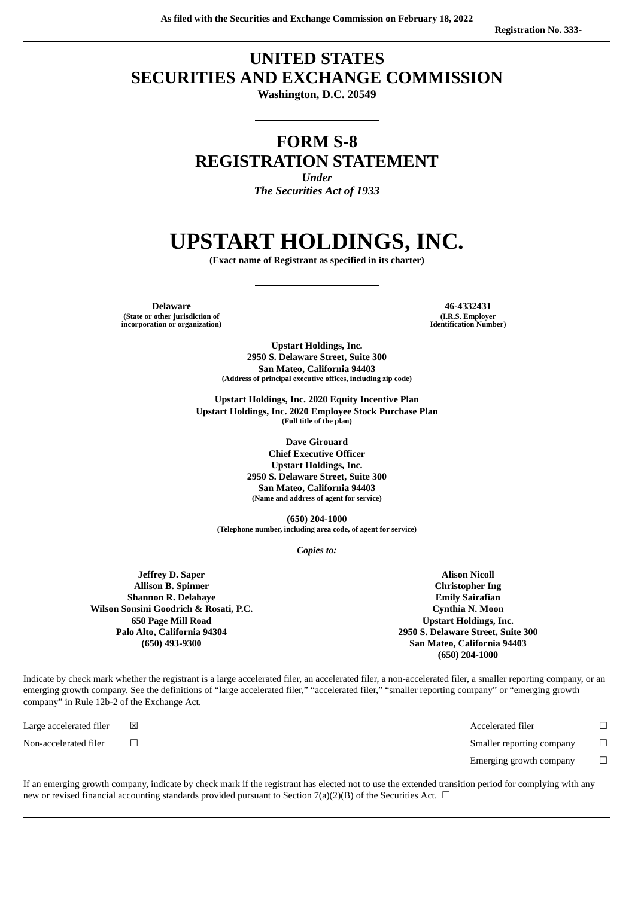# **UNITED STATES SECURITIES AND EXCHANGE COMMISSION**

**Washington, D.C. 20549**

# **FORM S-8 REGISTRATION STATEMENT**

*Under The Securities Act of 1933*

# **UPSTART HOLDINGS, INC.**

**(Exact name of Registrant as specified in its charter)**

**Delaware 46-4332431 (State or other jurisdiction of incorporation or organization)**

**(I.R.S. Employer Identification Number)**

**Upstart Holdings, Inc. 2950 S. Delaware Street, Suite 300 San Mateo, California 94403 (Address of principal executive offices, including zip code)**

**Upstart Holdings, Inc. 2020 Equity Incentive Plan Upstart Holdings, Inc. 2020 Employee Stock Purchase Plan (Full title of the plan)**

> **Dave Girouard Chief Executive Officer Upstart Holdings, Inc. 2950 S. Delaware Street, Suite 300 San Mateo, California 94403 (Name and address of agent for service)**

**(650) 204-1000 (Telephone number, including area code, of agent for service)**

*Copies to:*

**Jeffrey D. Saper Allison B. Spinner Shannon R. Delahaye Wilson Sonsini Goodrich & Rosati, P.C. 650 Page Mill Road Palo Alto, California 94304 (650) 493-9300**

**Alison Nicoll Christopher Ing Emily Sairafian Cynthia N. Moon Upstart Holdings, Inc. 2950 S. Delaware Street, Suite 300 San Mateo, California 94403 (650) 204-1000**

Indicate by check mark whether the registrant is a large accelerated filer, an accelerated filer, a non-accelerated filer, a smaller reporting company, or an emerging growth company. See the definitions of "large accelerated filer," "accelerated filer," "smaller reporting company" or "emerging growth company" in Rule 12b-2 of the Exchange Act.

Large accelerated filer  $□$   $□$ Non-accelerated filer ☐ Smaller reporting company ☐ Emerging growth company  $\Box$ 

If an emerging growth company, indicate by check mark if the registrant has elected not to use the extended transition period for complying with any new or revised financial accounting standards provided pursuant to Section 7(a)(2)(B) of the Securities Act.  $\Box$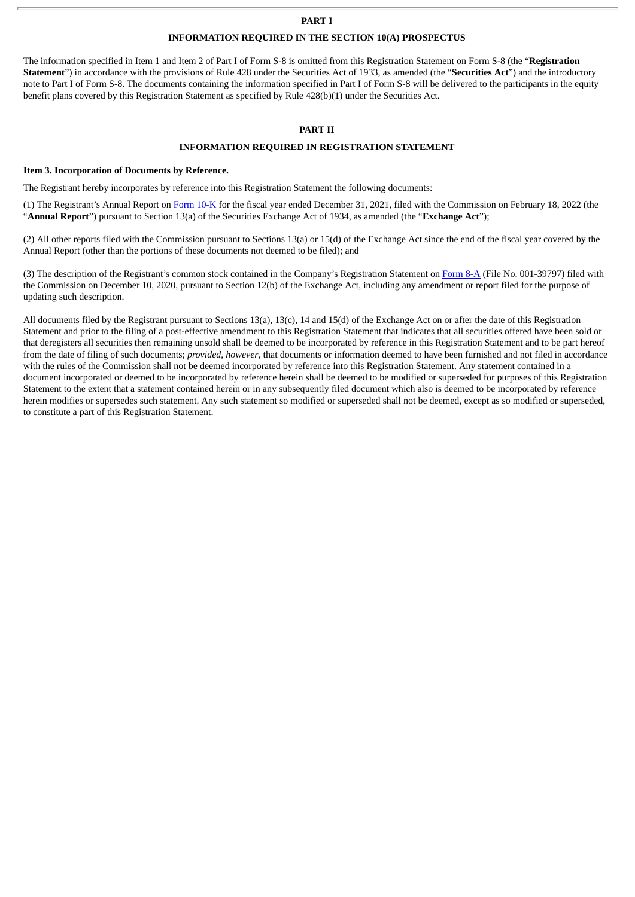#### **PART I**

#### **INFORMATION REQUIRED IN THE SECTION 10(A) PROSPECTUS**

The information specified in Item 1 and Item 2 of Part I of Form S-8 is omitted from this Registration Statement on Form S-8 (the "**Registration Statement**") in accordance with the provisions of Rule 428 under the Securities Act of 1933, as amended (the "**Securities Act**") and the introductory note to Part I of Form S-8. The documents containing the information specified in Part I of Form S-8 will be delivered to the participants in the equity benefit plans covered by this Registration Statement as specified by Rule 428(b)(1) under the Securities Act.

#### **PART II**

# **INFORMATION REQUIRED IN REGISTRATION STATEMENT**

#### **Item 3. Incorporation of Documents by Reference.**

The Registrant hereby incorporates by reference into this Registration Statement the following documents:

(1) The Registrant's Annual Report on [Form](http://www.sec.gov/ix?doc=/Archives/edgar/data/1647639/000164763922000009/upst-20211231.htm) 10-K for the fiscal year ended December 31, 2021, filed with the Commission on February 18, 2022 (the "**Annual Report**") pursuant to Section 13(a) of the Securities Exchange Act of 1934, as amended (the "**Exchange Act**");

(2) All other reports filed with the Commission pursuant to Sections 13(a) or 15(d) of the Exchange Act since the end of the fiscal year covered by the Annual Report (other than the portions of these documents not deemed to be filed); and

(3) The description of the Registrant's common stock contained in the Company's Registration Statement on [Form](http://www.sec.gov/Archives/edgar/data/1647639/000119312520314763/d85190d8a12b.htm) 8-A (File No. 001-39797) filed with the Commission on December 10, 2020, pursuant to Section 12(b) of the Exchange Act, including any amendment or report filed for the purpose of updating such description.

All documents filed by the Registrant pursuant to Sections 13(a), 13(c), 14 and 15(d) of the Exchange Act on or after the date of this Registration Statement and prior to the filing of a post-effective amendment to this Registration Statement that indicates that all securities offered have been sold or that deregisters all securities then remaining unsold shall be deemed to be incorporated by reference in this Registration Statement and to be part hereof from the date of filing of such documents; *provided*, *however*, that documents or information deemed to have been furnished and not filed in accordance with the rules of the Commission shall not be deemed incorporated by reference into this Registration Statement. Any statement contained in a document incorporated or deemed to be incorporated by reference herein shall be deemed to be modified or superseded for purposes of this Registration Statement to the extent that a statement contained herein or in any subsequently filed document which also is deemed to be incorporated by reference herein modifies or supersedes such statement. Any such statement so modified or superseded shall not be deemed, except as so modified or superseded, to constitute a part of this Registration Statement.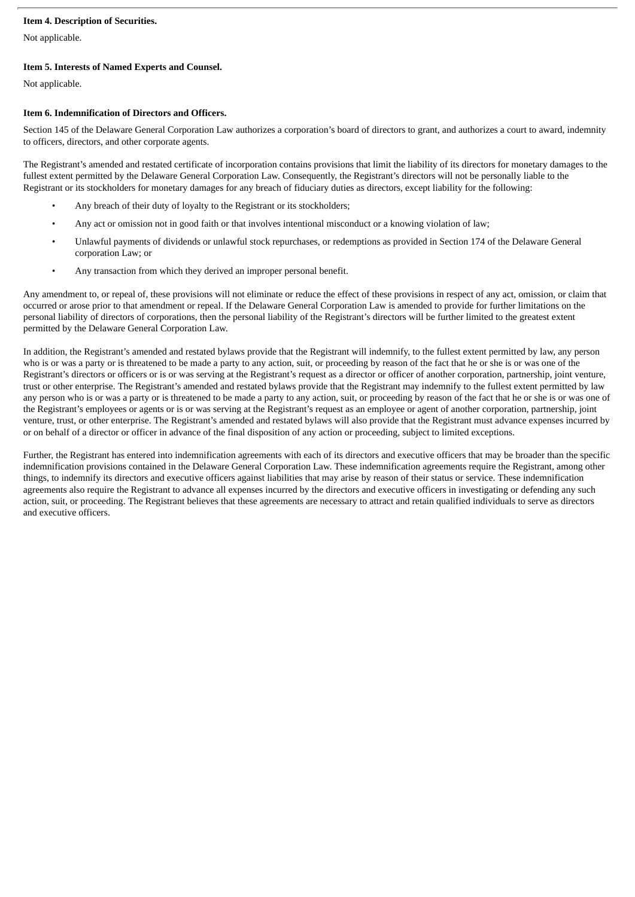## **Item 4. Description of Securities.**

Not applicable.

# **Item 5. Interests of Named Experts and Counsel.**

Not applicable.

#### **Item 6. Indemnification of Directors and Officers.**

Section 145 of the Delaware General Corporation Law authorizes a corporation's board of directors to grant, and authorizes a court to award, indemnity to officers, directors, and other corporate agents.

The Registrant's amended and restated certificate of incorporation contains provisions that limit the liability of its directors for monetary damages to the fullest extent permitted by the Delaware General Corporation Law. Consequently, the Registrant's directors will not be personally liable to the Registrant or its stockholders for monetary damages for any breach of fiduciary duties as directors, except liability for the following:

- Any breach of their duty of loyalty to the Registrant or its stockholders;
- Any act or omission not in good faith or that involves intentional misconduct or a knowing violation of law;
- Unlawful payments of dividends or unlawful stock repurchases, or redemptions as provided in Section 174 of the Delaware General corporation Law; or
- Any transaction from which they derived an improper personal benefit.

Any amendment to, or repeal of, these provisions will not eliminate or reduce the effect of these provisions in respect of any act, omission, or claim that occurred or arose prior to that amendment or repeal. If the Delaware General Corporation Law is amended to provide for further limitations on the personal liability of directors of corporations, then the personal liability of the Registrant's directors will be further limited to the greatest extent permitted by the Delaware General Corporation Law.

In addition, the Registrant's amended and restated bylaws provide that the Registrant will indemnify, to the fullest extent permitted by law, any person who is or was a party or is threatened to be made a party to any action, suit, or proceeding by reason of the fact that he or she is or was one of the Registrant's directors or officers or is or was serving at the Registrant's request as a director or officer of another corporation, partnership, joint venture, trust or other enterprise. The Registrant's amended and restated bylaws provide that the Registrant may indemnify to the fullest extent permitted by law any person who is or was a party or is threatened to be made a party to any action, suit, or proceeding by reason of the fact that he or she is or was one of the Registrant's employees or agents or is or was serving at the Registrant's request as an employee or agent of another corporation, partnership, joint venture, trust, or other enterprise. The Registrant's amended and restated bylaws will also provide that the Registrant must advance expenses incurred by or on behalf of a director or officer in advance of the final disposition of any action or proceeding, subject to limited exceptions.

Further, the Registrant has entered into indemnification agreements with each of its directors and executive officers that may be broader than the specific indemnification provisions contained in the Delaware General Corporation Law. These indemnification agreements require the Registrant, among other things, to indemnify its directors and executive officers against liabilities that may arise by reason of their status or service. These indemnification agreements also require the Registrant to advance all expenses incurred by the directors and executive officers in investigating or defending any such action, suit, or proceeding. The Registrant believes that these agreements are necessary to attract and retain qualified individuals to serve as directors and executive officers.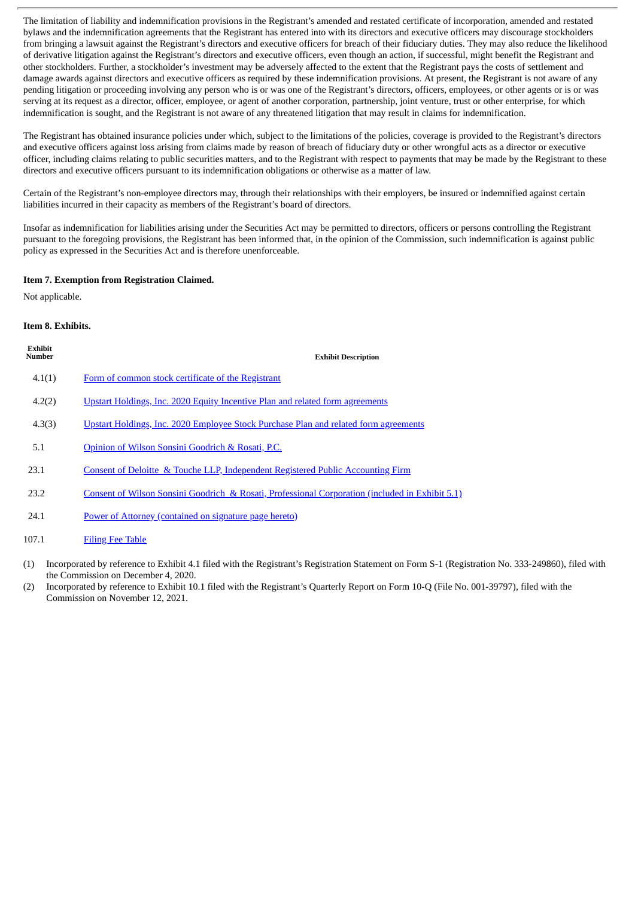The limitation of liability and indemnification provisions in the Registrant's amended and restated certificate of incorporation, amended and restated bylaws and the indemnification agreements that the Registrant has entered into with its directors and executive officers may discourage stockholders from bringing a lawsuit against the Registrant's directors and executive officers for breach of their fiduciary duties. They may also reduce the likelihood of derivative litigation against the Registrant's directors and executive officers, even though an action, if successful, might benefit the Registrant and other stockholders. Further, a stockholder's investment may be adversely affected to the extent that the Registrant pays the costs of settlement and damage awards against directors and executive officers as required by these indemnification provisions. At present, the Registrant is not aware of any pending litigation or proceeding involving any person who is or was one of the Registrant's directors, officers, employees, or other agents or is or was serving at its request as a director, officer, employee, or agent of another corporation, partnership, joint venture, trust or other enterprise, for which indemnification is sought, and the Registrant is not aware of any threatened litigation that may result in claims for indemnification.

The Registrant has obtained insurance policies under which, subject to the limitations of the policies, coverage is provided to the Registrant's directors and executive officers against loss arising from claims made by reason of breach of fiduciary duty or other wrongful acts as a director or executive officer, including claims relating to public securities matters, and to the Registrant with respect to payments that may be made by the Registrant to these directors and executive officers pursuant to its indemnification obligations or otherwise as a matter of law.

Certain of the Registrant's non-employee directors may, through their relationships with their employers, be insured or indemnified against certain liabilities incurred in their capacity as members of the Registrant's board of directors.

Insofar as indemnification for liabilities arising under the Securities Act may be permitted to directors, officers or persons controlling the Registrant pursuant to the foregoing provisions, the Registrant has been informed that, in the opinion of the Commission, such indemnification is against public policy as expressed in the Securities Act and is therefore unenforceable.

#### **Item 7. Exemption from Registration Claimed.**

Not applicable.

#### **Item 8. Exhibits.**

| Exhibit<br><b>Number</b> | <b>Exhibit Description</b>                                                                      |
|--------------------------|-------------------------------------------------------------------------------------------------|
| 4.1(1)                   | Form of common stock certificate of the Registrant                                              |
| 4.2(2)                   | <u>Upstart Holdings, Inc. 2020 Equity Incentive Plan and related form agreements</u>            |
| 4.3(3)                   | Upstart Holdings, Inc. 2020 Employee Stock Purchase Plan and related form agreements            |
| 5.1                      | Opinion of Wilson Sonsini Goodrich & Rosati, P.C.                                               |
| 23.1                     | <u>Consent of Deloitte &amp; Touche LLP, Independent Registered Public Accounting Firm</u>      |
| 23.2                     | Consent of Wilson Sonsini Goodrich & Rosati, Professional Corporation (included in Exhibit 5.1) |
| 24.1                     | Power of Attorney (contained on signature page hereto)                                          |
| 107.1                    | <b>Filing Fee Table</b>                                                                         |

- (1) Incorporated by reference to Exhibit 4.1 filed with the Registrant's Registration Statement on Form S-1 (Registration No. 333-249860), filed with the Commission on December 4, 2020.
- (2) Incorporated by reference to Exhibit 10.1 filed with the Registrant's Quarterly Report on Form 10-Q (File No. 001-39797), filed with the Commission on November 12, 2021.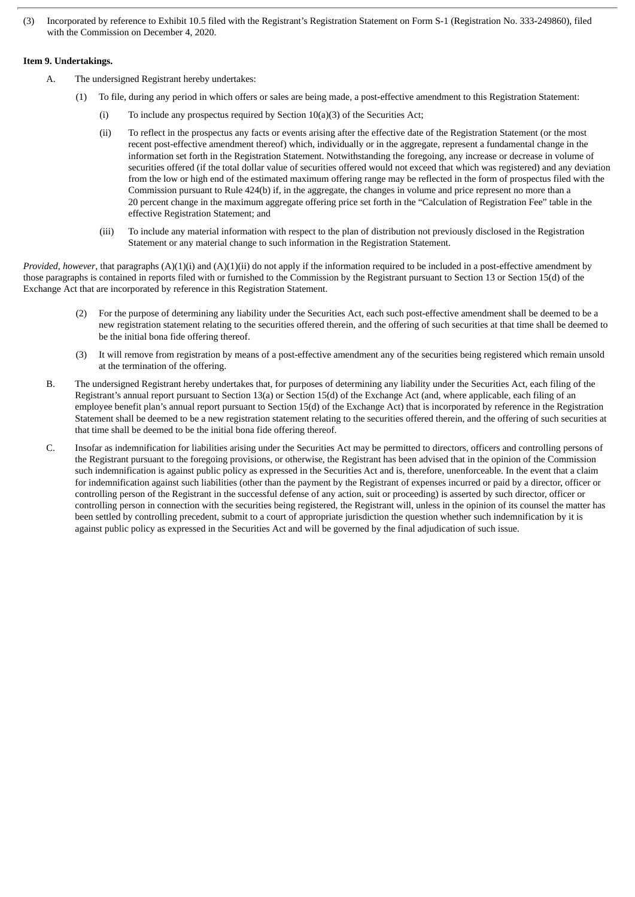(3) Incorporated by reference to Exhibit 10.5 filed with the Registrant's Registration Statement on Form S-1 (Registration No. 333-249860), filed with the Commission on December 4, 2020.

## **Item 9. Undertakings.**

- A. The undersigned Registrant hereby undertakes:
	- (1) To file, during any period in which offers or sales are being made, a post-effective amendment to this Registration Statement:
		- (i) To include any prospectus required by Section 10(a)(3) of the Securities Act;
		- (ii) To reflect in the prospectus any facts or events arising after the effective date of the Registration Statement (or the most recent post-effective amendment thereof) which, individually or in the aggregate, represent a fundamental change in the information set forth in the Registration Statement. Notwithstanding the foregoing, any increase or decrease in volume of securities offered (if the total dollar value of securities offered would not exceed that which was registered) and any deviation from the low or high end of the estimated maximum offering range may be reflected in the form of prospectus filed with the Commission pursuant to Rule 424(b) if, in the aggregate, the changes in volume and price represent no more than a 20 percent change in the maximum aggregate offering price set forth in the "Calculation of Registration Fee" table in the effective Registration Statement; and
		- (iii) To include any material information with respect to the plan of distribution not previously disclosed in the Registration Statement or any material change to such information in the Registration Statement.

*Provided, however*, that paragraphs (A)(1)(i) and (A)(1)(ii) do not apply if the information required to be included in a post-effective amendment by those paragraphs is contained in reports filed with or furnished to the Commission by the Registrant pursuant to Section 13 or Section 15(d) of the Exchange Act that are incorporated by reference in this Registration Statement.

- (2) For the purpose of determining any liability under the Securities Act, each such post-effective amendment shall be deemed to be a new registration statement relating to the securities offered therein, and the offering of such securities at that time shall be deemed to be the initial bona fide offering thereof.
- (3) It will remove from registration by means of a post-effective amendment any of the securities being registered which remain unsold at the termination of the offering.
- B. The undersigned Registrant hereby undertakes that, for purposes of determining any liability under the Securities Act, each filing of the Registrant's annual report pursuant to Section 13(a) or Section 15(d) of the Exchange Act (and, where applicable, each filing of an employee benefit plan's annual report pursuant to Section 15(d) of the Exchange Act) that is incorporated by reference in the Registration Statement shall be deemed to be a new registration statement relating to the securities offered therein, and the offering of such securities at that time shall be deemed to be the initial bona fide offering thereof.
- C. Insofar as indemnification for liabilities arising under the Securities Act may be permitted to directors, officers and controlling persons of the Registrant pursuant to the foregoing provisions, or otherwise, the Registrant has been advised that in the opinion of the Commission such indemnification is against public policy as expressed in the Securities Act and is, therefore, unenforceable. In the event that a claim for indemnification against such liabilities (other than the payment by the Registrant of expenses incurred or paid by a director, officer or controlling person of the Registrant in the successful defense of any action, suit or proceeding) is asserted by such director, officer or controlling person in connection with the securities being registered, the Registrant will, unless in the opinion of its counsel the matter has been settled by controlling precedent, submit to a court of appropriate jurisdiction the question whether such indemnification by it is against public policy as expressed in the Securities Act and will be governed by the final adjudication of such issue.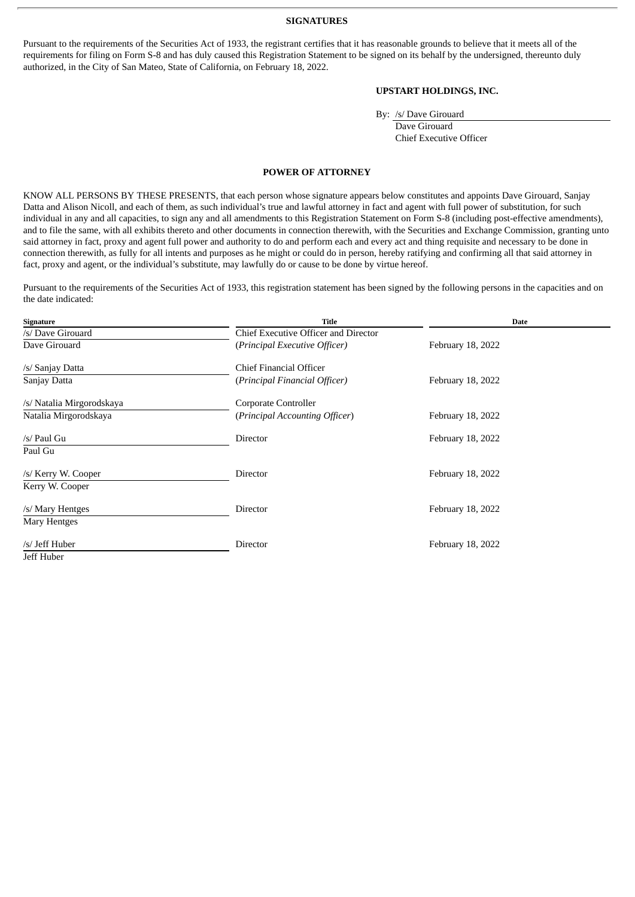#### **SIGNATURES**

<span id="page-5-0"></span>Pursuant to the requirements of the Securities Act of 1933, the registrant certifies that it has reasonable grounds to believe that it meets all of the requirements for filing on Form S-8 and has duly caused this Registration Statement to be signed on its behalf by the undersigned, thereunto duly authorized, in the City of San Mateo, State of California, on February 18, 2022.

# **UPSTART HOLDINGS, INC.**

By: /s/ Dave Girouard

Dave Girouard Chief Executive Officer

## **POWER OF ATTORNEY**

KNOW ALL PERSONS BY THESE PRESENTS, that each person whose signature appears below constitutes and appoints Dave Girouard, Sanjay Datta and Alison Nicoll, and each of them, as such individual's true and lawful attorney in fact and agent with full power of substitution, for such individual in any and all capacities, to sign any and all amendments to this Registration Statement on Form S-8 (including post-effective amendments), and to file the same, with all exhibits thereto and other documents in connection therewith, with the Securities and Exchange Commission, granting unto said attorney in fact, proxy and agent full power and authority to do and perform each and every act and thing requisite and necessary to be done in connection therewith, as fully for all intents and purposes as he might or could do in person, hereby ratifying and confirming all that said attorney in fact, proxy and agent, or the individual's substitute, may lawfully do or cause to be done by virtue hereof.

Pursuant to the requirements of the Securities Act of 1933, this registration statement has been signed by the following persons in the capacities and on the date indicated:

| Signature                 | <b>Title</b>                         | Date              |
|---------------------------|--------------------------------------|-------------------|
| /s/ Dave Girouard         | Chief Executive Officer and Director |                   |
| Dave Girouard             | (Principal Executive Officer)        | February 18, 2022 |
| /s/ Sanjay Datta          | Chief Financial Officer              |                   |
| Sanjay Datta              | (Principal Financial Officer)        | February 18, 2022 |
| /s/ Natalia Mirgorodskaya | Corporate Controller                 |                   |
| Natalia Mirgorodskaya     | (Principal Accounting Officer)       | February 18, 2022 |
| /s/ Paul Gu               | Director                             | February 18, 2022 |
| Paul Gu                   |                                      |                   |
| /s/ Kerry W. Cooper       | Director                             | February 18, 2022 |
| Kerry W. Cooper           |                                      |                   |
| /s/ Mary Hentges          | Director                             | February 18, 2022 |
| Mary Hentges              |                                      |                   |
| /s/ Jeff Huber            | Director                             | February 18, 2022 |
| Jeff Huber                |                                      |                   |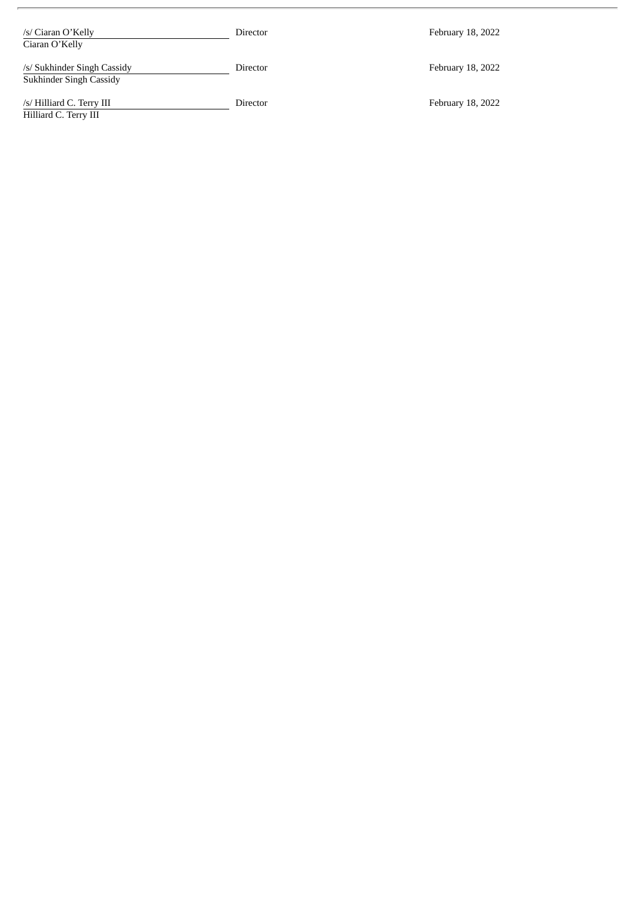| /s/ Ciaran O'Kelly<br>Ciaran O'Kelly                   | Director | February 18, 2022 |
|--------------------------------------------------------|----------|-------------------|
| /s/ Sukhinder Singh Cassidy<br>Sukhinder Singh Cassidy | Director | February 18, 2022 |
| /s/ Hilliard C. Terry III<br>Hilliard C. Terry III     | Director | February 18, 2022 |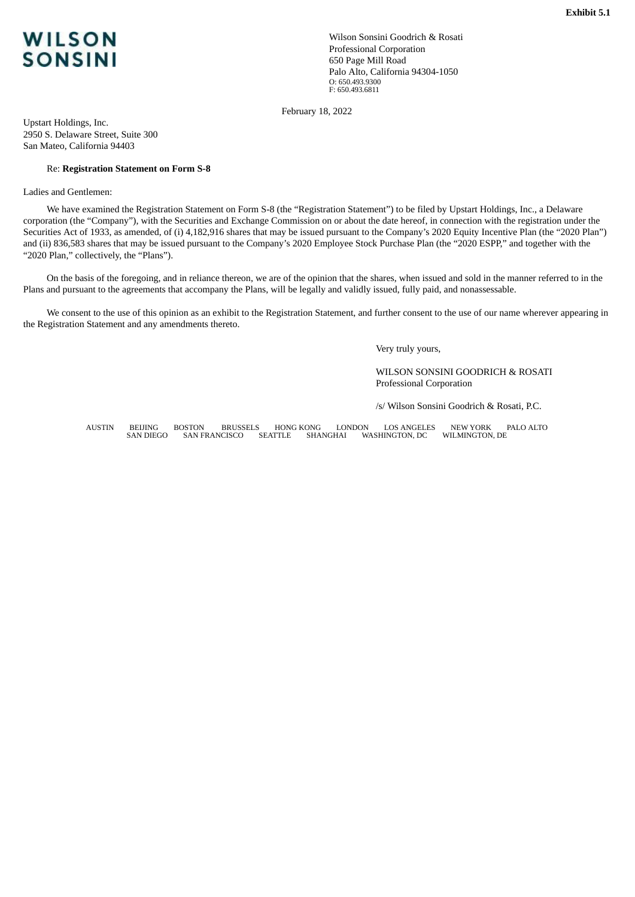<span id="page-7-0"></span>

Wilson Sonsini Goodrich & Rosati Professional Corporation 650 Page Mill Road Palo Alto, California 94304-1050 O: 650.493.9300 F: 650.493.6811

February 18, 2022

Upstart Holdings, Inc. 2950 S. Delaware Street, Suite 300 San Mateo, California 94403

#### Re: **Registration Statement on Form S-8**

Ladies and Gentlemen:

We have examined the Registration Statement on Form S-8 (the "Registration Statement") to be filed by Upstart Holdings, Inc., a Delaware corporation (the "Company"), with the Securities and Exchange Commission on or about the date hereof, in connection with the registration under the Securities Act of 1933, as amended, of (i) 4,182,916 shares that may be issued pursuant to the Company's 2020 Equity Incentive Plan (the "2020 Plan") and (ii) 836,583 shares that may be issued pursuant to the Company's 2020 Employee Stock Purchase Plan (the "2020 ESPP," and together with the "2020 Plan," collectively, the "Plans").

On the basis of the foregoing, and in reliance thereon, we are of the opinion that the shares, when issued and sold in the manner referred to in the Plans and pursuant to the agreements that accompany the Plans, will be legally and validly issued, fully paid, and nonassessable.

We consent to the use of this opinion as an exhibit to the Registration Statement, and further consent to the use of our name wherever appearing in the Registration Statement and any amendments thereto.

Very truly yours,

WILSON SONSINI GOODRICH & ROSATI Professional Corporation

/s/ Wilson Sonsini Goodrich & Rosati, P.C.

AUSTIN BEIJING BOSTON BRUSSELS HONG KONG LONDON LOS ANGELES NEW YORK PALO ALTO WASHINGTON, DC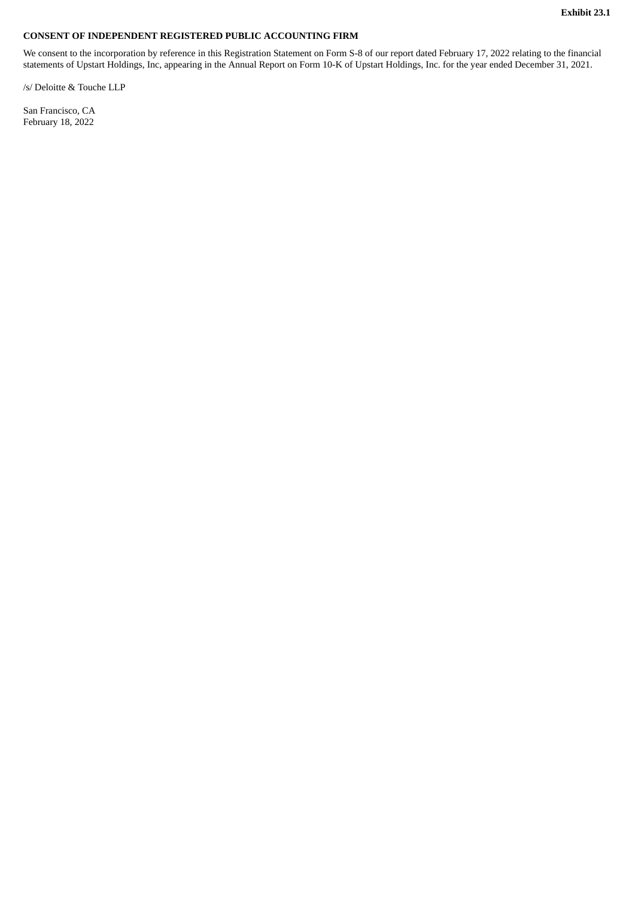### <span id="page-8-0"></span>**CONSENT OF INDEPENDENT REGISTERED PUBLIC ACCOUNTING FIRM**

We consent to the incorporation by reference in this Registration Statement on Form S-8 of our report dated February 17, 2022 relating to the financial statements of Upstart Holdings, Inc, appearing in the Annual Report on Form 10-K of Upstart Holdings, Inc. for the year ended December 31, 2021.

/s/ Deloitte & Touche LLP

San Francisco, CA February 18, 2022